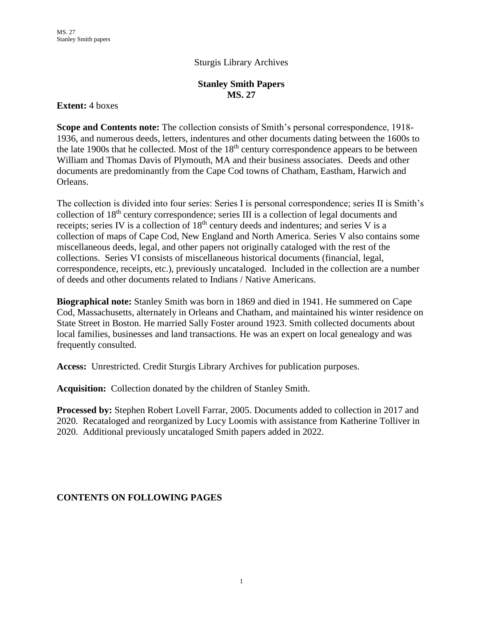### Sturgis Library Archives

#### **Stanley Smith Papers MS. 27**

#### **Extent:** 4 boxes

**Scope and Contents note:** The collection consists of Smith's personal correspondence, 1918- 1936, and numerous deeds, letters, indentures and other documents dating between the 1600s to the late 1900s that he collected. Most of the  $18<sup>th</sup>$  century correspondence appears to be between William and Thomas Davis of Plymouth, MA and their business associates. Deeds and other documents are predominantly from the Cape Cod towns of Chatham, Eastham, Harwich and Orleans.

The collection is divided into four series: Series I is personal correspondence; series II is Smith's collection of 18<sup>th</sup> century correspondence; series III is a collection of legal documents and receipts; series IV is a collection of 18<sup>th</sup> century deeds and indentures; and series V is a collection of maps of Cape Cod, New England and North America. Series V also contains some miscellaneous deeds, legal, and other papers not originally cataloged with the rest of the collections. Series VI consists of miscellaneous historical documents (financial, legal, correspondence, receipts, etc.), previously uncataloged. Included in the collection are a number of deeds and other documents related to Indians / Native Americans.

**Biographical note:** Stanley Smith was born in 1869 and died in 1941. He summered on Cape Cod, Massachusetts, alternately in Orleans and Chatham, and maintained his winter residence on State Street in Boston. He married Sally Foster around 1923. Smith collected documents about local families, businesses and land transactions. He was an expert on local genealogy and was frequently consulted.

**Access:** Unrestricted. Credit Sturgis Library Archives for publication purposes.

**Acquisition:** Collection donated by the children of Stanley Smith.

**Processed by:** Stephen Robert Lovell Farrar, 2005. Documents added to collection in 2017 and 2020. Recataloged and reorganized by Lucy Loomis with assistance from Katherine Tolliver in 2020. Additional previously uncataloged Smith papers added in 2022.

### **CONTENTS ON FOLLOWING PAGES**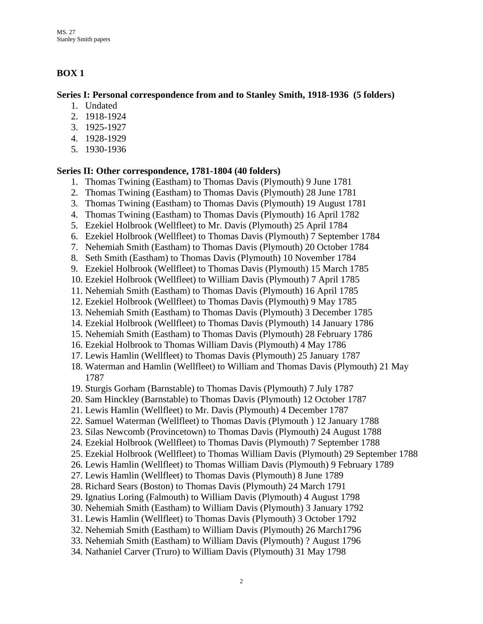## **BOX 1**

#### **Series I: Personal correspondence from and to Stanley Smith, 1918-1936 (5 folders)**

- 1. Undated
- 2. 1918-1924
- 3. 1925-1927
- 4. 1928-1929
- 5. 1930-1936

### **Series II: Other correspondence, 1781-1804 (40 folders)**

- 1. Thomas Twining (Eastham) to Thomas Davis (Plymouth) 9 June 1781
- 2. Thomas Twining (Eastham) to Thomas Davis (Plymouth) 28 June 1781
- 3. Thomas Twining (Eastham) to Thomas Davis (Plymouth) 19 August 1781
- 4. Thomas Twining (Eastham) to Thomas Davis (Plymouth) 16 April 1782
- 5. Ezekiel Holbrook (Wellfleet) to Mr. Davis (Plymouth) 25 April 1784
- 6. Ezekiel Holbrook (Wellfleet) to Thomas Davis (Plymouth) 7 September 1784
- 7. Nehemiah Smith (Eastham) to Thomas Davis (Plymouth) 20 October 1784
- 8. Seth Smith (Eastham) to Thomas Davis (Plymouth) 10 November 1784
- 9. Ezekiel Holbrook (Wellfleet) to Thomas Davis (Plymouth) 15 March 1785
- 10. Ezekiel Holbrook (Wellfleet) to William Davis (Plymouth) 7 April 1785
- 11. Nehemiah Smith (Eastham) to Thomas Davis (Plymouth) 16 April 1785
- 12. Ezekiel Holbrook (Wellfleet) to Thomas Davis (Plymouth) 9 May 1785
- 13. Nehemiah Smith (Eastham) to Thomas Davis (Plymouth) 3 December 1785
- 14. Ezekial Holbrook (Wellfleet) to Thomas Davis (Plymouth) 14 January 1786
- 15. Nehemiah Smith (Eastham) to Thomas Davis (Plymouth) 28 February 1786
- 16. Ezekial Holbrook to Thomas William Davis (Plymouth) 4 May 1786
- 17. Lewis Hamlin (Wellfleet) to Thomas Davis (Plymouth) 25 January 1787
- 18. Waterman and Hamlin (Wellfleet) to William and Thomas Davis (Plymouth) 21 May 1787
- 19. Sturgis Gorham (Barnstable) to Thomas Davis (Plymouth) 7 July 1787
- 20. Sam Hinckley (Barnstable) to Thomas Davis (Plymouth) 12 October 1787
- 21. Lewis Hamlin (Wellfleet) to Mr. Davis (Plymouth) 4 December 1787
- 22. Samuel Waterman (Wellfleet) to Thomas Davis (Plymouth ) 12 January 1788
- 23. Silas Newcomb (Provincetown) to Thomas Davis (Plymouth) 24 August 1788
- 24. Ezekial Holbrook (Wellfleet) to Thomas Davis (Plymouth) 7 September 1788
- 25. Ezekial Holbrook (Wellfleet) to Thomas William Davis (Plymouth) 29 September 1788
- 26. Lewis Hamlin (Wellfleet) to Thomas William Davis (Plymouth) 9 February 1789
- 27. Lewis Hamlin (Wellfleet) to Thomas Davis (Plymouth) 8 June 1789
- 28. Richard Sears (Boston) to Thomas Davis (Plymouth) 24 March 1791
- 29. Ignatius Loring (Falmouth) to William Davis (Plymouth) 4 August 1798
- 30. Nehemiah Smith (Eastham) to William Davis (Plymouth) 3 January 1792
- 31. Lewis Hamlin (Wellfleet) to Thomas Davis (Plymouth) 3 October 1792
- 32. Nehemiah Smith (Eastham) to William Davis (Plymouth) 26 March1796
- 33. Nehemiah Smith (Eastham) to William Davis (Plymouth) ? August 1796
- 34. Nathaniel Carver (Truro) to William Davis (Plymouth) 31 May 1798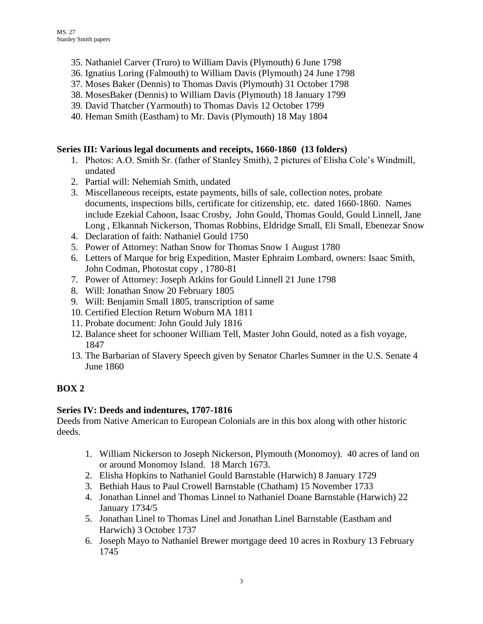- 35. Nathaniel Carver (Truro) to William Davis (Plymouth) 6 June 1798
- 36. Ignatius Loring (Falmouth) to William Davis (Plymouth) 24 June 1798
- 37. Moses Baker (Dennis) to Thomas Davis (Plymouth) 31 October 1798
- 38. MosesBaker (Dennis) to William Davis (Plymouth) 18 January 1799
- 39. David Thatcher (Yarmouth) to Thomas Davis 12 October 1799
- 40. Heman Smith (Eastham) to Mr. Davis (Plymouth) 18 May 1804

### **Series III: Various legal documents and receipts, 1660-1860 (13 folders)**

- 1. Photos: A.O. Smith Sr. (father of Stanley Smith), 2 pictures of Elisha Cole's Windmill, undated
- 2. Partial will: Nehemiah Smith, undated
- 3. Miscellaneous receipts, estate payments, bills of sale, collection notes, probate documents, inspections bills, certificate for citizenship, etc. dated 1660-1860. Names include Ezekial Cahoon, Isaac Crosby, John Gould, Thomas Gould, Gould Linnell, Jane Long , Elkannah Nickerson, Thomas Robbins, Eldridge Small, Eli Small, Ebenezar Snow
- 4. Declaration of faith: Nathaniel Gould 1750
- 5. Power of Attorney: Nathan Snow for Thomas Snow 1 August 1780
- 6. Letters of Marque for brig Expedition, Master Ephraim Lombard, owners: Isaac Smith, John Codman, Photostat copy , 1780-81
- 7. Power of Attorney: Joseph Atkins for Gould Linnell 21 June 1798
- 8. Will: Jonathan Snow 20 February 1805
- 9. Will: Benjamin Small 1805, transcription of same
- 10. Certified Election Return Woburn MA 1811
- 11. Probate document: John Gould July 1816
- 12. Balance sheet for schooner William Tell, Master John Gould, noted as a fish voyage, 1847
- 13. The Barbarian of Slavery Speech given by Senator Charles Sumner in the U.S. Senate 4 June 1860

## **BOX 2**

### **Series IV: Deeds and indentures, 1707-1816**

Deeds from Native American to European Colonials are in this box along with other historic deeds.

- 1. William Nickerson to Joseph Nickerson, Plymouth (Monomoy). 40 acres of land on or around Monomoy Island. 18 March 1673.
- 2. Elisha Hopkins to Nathaniel Gould Barnstable (Harwich) 8 January 1729
- 3. Bethiah Haus to Paul Crowell Barnstable (Chatham) 15 November 1733
- 4. Jonathan Linnel and Thomas Linnel to Nathaniel Doane Barnstable (Harwich) 22 January 1734/5
- 5. Jonathan Linel to Thomas Linel and Jonathan Linel Barnstable (Eastham and Harwich) 3 October 1737
- 6. Joseph Mayo to Nathaniel Brewer mortgage deed 10 acres in Roxbury 13 February 1745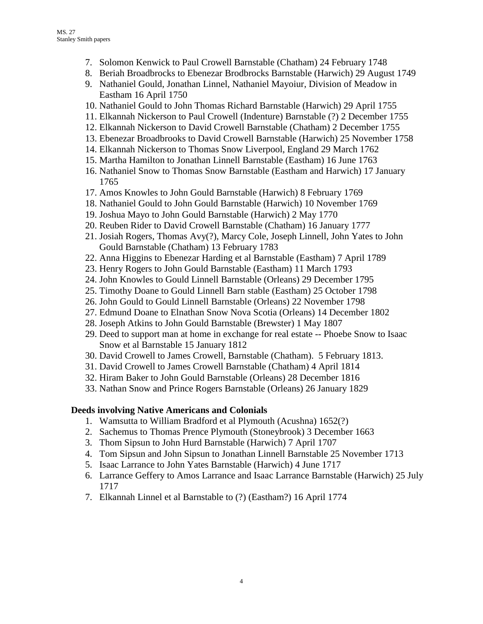- 7. Solomon Kenwick to Paul Crowell Barnstable (Chatham) 24 February 1748
- 8. Beriah Broadbrocks to Ebenezar Brodbrocks Barnstable (Harwich) 29 August 1749
- 9. Nathaniel Gould, Jonathan Linnel, Nathaniel Mayoiur, Division of Meadow in Eastham 16 April 1750
- 10. Nathaniel Gould to John Thomas Richard Barnstable (Harwich) 29 April 1755
- 11. Elkannah Nickerson to Paul Crowell (Indenture) Barnstable (?) 2 December 1755
- 12. Elkannah Nickerson to David Crowell Barnstable (Chatham) 2 December 1755
- 13. Ebenezar Broadbrooks to David Crowell Barnstable (Harwich) 25 November 1758
- 14. Elkannah Nickerson to Thomas Snow Liverpool, England 29 March 1762
- 15. Martha Hamilton to Jonathan Linnell Barnstable (Eastham) 16 June 1763
- 16. Nathaniel Snow to Thomas Snow Barnstable (Eastham and Harwich) 17 January 1765
- 17. Amos Knowles to John Gould Barnstable (Harwich) 8 February 1769
- 18. Nathaniel Gould to John Gould Barnstable (Harwich) 10 November 1769
- 19. Joshua Mayo to John Gould Barnstable (Harwich) 2 May 1770
- 20. Reuben Rider to David Crowell Barnstable (Chatham) 16 January 1777
- 21. Josiah Rogers, Thomas Avy(?), Marcy Cole, Joseph Linnell, John Yates to John Gould Barnstable (Chatham) 13 February 1783
- 22. Anna Higgins to Ebenezar Harding et al Barnstable (Eastham) 7 April 1789
- 23. Henry Rogers to John Gould Barnstable (Eastham) 11 March 1793
- 24. John Knowles to Gould Linnell Barnstable (Orleans) 29 December 1795
- 25. Timothy Doane to Gould Linnell Barn stable (Eastham) 25 October 1798
- 26. John Gould to Gould Linnell Barnstable (Orleans) 22 November 1798
- 27. Edmund Doane to Elnathan Snow Nova Scotia (Orleans) 14 December 1802
- 28. Joseph Atkins to John Gould Barnstable (Brewster) 1 May 1807
- 29. Deed to support man at home in exchange for real estate -- Phoebe Snow to Isaac Snow et al Barnstable 15 January 1812
- 30. David Crowell to James Crowell, Barnstable (Chatham). 5 February 1813.
- 31. David Crowell to James Crowell Barnstable (Chatham) 4 April 1814
- 32. Hiram Baker to John Gould Barnstable (Orleans) 28 December 1816
- 33. Nathan Snow and Prince Rogers Barnstable (Orleans) 26 January 1829

## **Deeds involving Native Americans and Colonials**

- 1. Wamsutta to William Bradford et al Plymouth (Acushna) 1652(?)
- 2. Sachemus to Thomas Prence Plymouth (Stoneybrook) 3 December 1663
- 3. Thom Sipsun to John Hurd Barnstable (Harwich) 7 April 1707
- 4. Tom Sipsun and John Sipsun to Jonathan Linnell Barnstable 25 November 1713
- 5. Isaac Larrance to John Yates Barnstable (Harwich) 4 June 1717
- 6. Larrance Geffery to Amos Larrance and Isaac Larrance Barnstable (Harwich) 25 July 1717
- 7. Elkannah Linnel et al Barnstable to (?) (Eastham?) 16 April 1774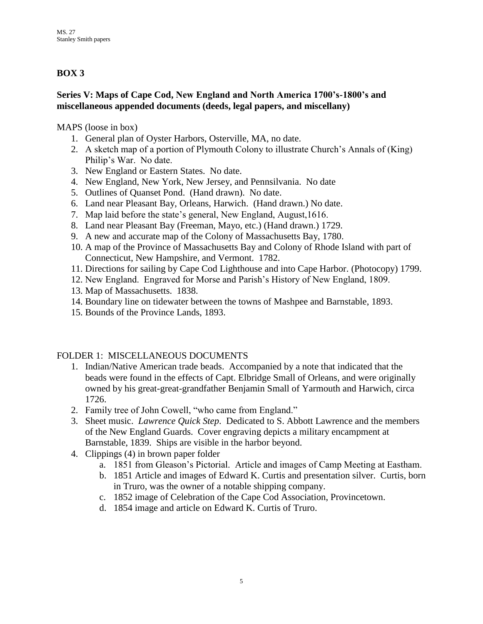## **BOX 3**

### **Series V: Maps of Cape Cod, New England and North America 1700's-1800's and miscellaneous appended documents (deeds, legal papers, and miscellany)**

MAPS (loose in box)

- 1. General plan of Oyster Harbors, Osterville, MA, no date.
- 2. A sketch map of a portion of Plymouth Colony to illustrate Church's Annals of (King) Philip's War. No date.
- 3. New England or Eastern States. No date.
- 4. New England, New York, New Jersey, and Pennsilvania. No date
- 5. Outlines of Quanset Pond. (Hand drawn). No date.
- 6. Land near Pleasant Bay, Orleans, Harwich. (Hand drawn.) No date.
- 7. Map laid before the state's general, New England, August,1616.
- 8. Land near Pleasant Bay (Freeman, Mayo, etc.) (Hand drawn.) 1729.
- 9. A new and accurate map of the Colony of Massachusetts Bay, 1780.
- 10. A map of the Province of Massachusetts Bay and Colony of Rhode Island with part of Connecticut, New Hampshire, and Vermont. 1782.
- 11. Directions for sailing by Cape Cod Lighthouse and into Cape Harbor. (Photocopy) 1799.
- 12. New England. Engraved for Morse and Parish's History of New England, 1809.
- 13. Map of Massachusetts. 1838.
- 14. Boundary line on tidewater between the towns of Mashpee and Barnstable, 1893.
- 15. Bounds of the Province Lands, 1893.

## FOLDER 1: MISCELLANEOUS DOCUMENTS

- 1. Indian/Native American trade beads. Accompanied by a note that indicated that the beads were found in the effects of Capt. Elbridge Small of Orleans, and were originally owned by his great-great-grandfather Benjamin Small of Yarmouth and Harwich, circa 1726.
- 2. Family tree of John Cowell, "who came from England."
- 3. Sheet music. *Lawrence Quick Step*. Dedicated to S. Abbott Lawrence and the members of the New England Guards. Cover engraving depicts a military encampment at Barnstable, 1839. Ships are visible in the harbor beyond.
- 4. Clippings (4) in brown paper folder
	- a. 1851 from Gleason's Pictorial. Article and images of Camp Meeting at Eastham.
	- b. 1851 Article and images of Edward K. Curtis and presentation silver. Curtis, born in Truro, was the owner of a notable shipping company.
	- c. 1852 image of Celebration of the Cape Cod Association, Provincetown.
	- d. 1854 image and article on Edward K. Curtis of Truro.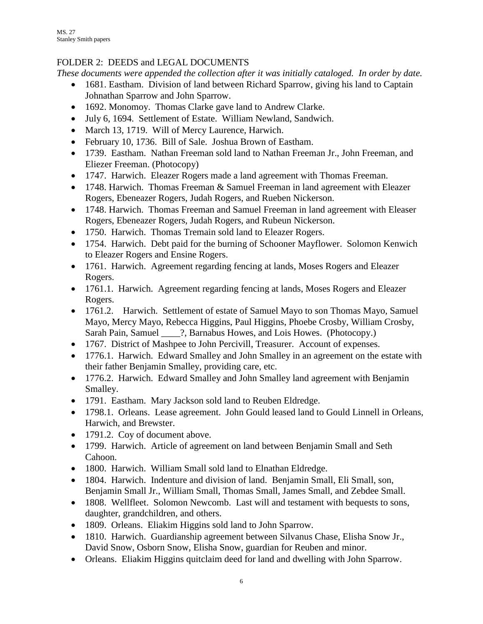## FOLDER 2: DEEDS and LEGAL DOCUMENTS

*These documents were appended the collection after it was initially cataloged. In order by date.*

- 1681. Eastham. Division of land between Richard Sparrow, giving his land to Captain Johnathan Sparrow and John Sparrow.
- 1692. Monomoy. Thomas Clarke gave land to Andrew Clarke.
- July 6, 1694. Settlement of Estate. William Newland, Sandwich.
- March 13, 1719. Will of Mercy Laurence, Harwich.
- February 10, 1736. Bill of Sale. Joshua Brown of Eastham.
- 1739. Eastham. Nathan Freeman sold land to Nathan Freeman Jr., John Freeman, and Eliezer Freeman. (Photocopy)
- 1747. Harwich. Eleazer Rogers made a land agreement with Thomas Freeman.
- 1748. Harwich. Thomas Freeman & Samuel Freeman in land agreement with Eleazer Rogers, Ebeneazer Rogers, Judah Rogers, and Rueben Nickerson.
- 1748. Harwich. Thomas Freeman and Samuel Freeman in land agreement with Eleaser Rogers, Ebeneazer Rogers, Judah Rogers, and Rubeun Nickerson.
- 1750. Harwich. Thomas Tremain sold land to Eleazer Rogers.
- 1754. Harwich. Debt paid for the burning of Schooner Mayflower. Solomon Kenwich to Eleazer Rogers and Ensine Rogers.
- 1761. Harwich. Agreement regarding fencing at lands, Moses Rogers and Eleazer Rogers.
- 1761.1. Harwich. Agreement regarding fencing at lands, Moses Rogers and Eleazer Rogers.
- 1761.2. Harwich. Settlement of estate of Samuel Mayo to son Thomas Mayo, Samuel Mayo, Mercy Mayo, Rebecca Higgins, Paul Higgins, Phoebe Crosby, William Crosby, Sarah Pain, Samuel \_\_\_\_?, Barnabus Howes, and Lois Howes. (Photocopy.)
- 1767. District of Mashpee to John Percivill, Treasurer. Account of expenses.
- 1776.1. Harwich. Edward Smalley and John Smalley in an agreement on the estate with their father Benjamin Smalley, providing care, etc.
- 1776.2. Harwich. Edward Smalley and John Smalley land agreement with Benjamin Smalley.
- 1791. Eastham. Mary Jackson sold land to Reuben Eldredge.
- 1798.1. Orleans. Lease agreement. John Gould leased land to Gould Linnell in Orleans, Harwich, and Brewster.
- 1791.2. Coy of document above.
- 1799. Harwich. Article of agreement on land between Benjamin Small and Seth Cahoon.
- 1800. Harwich. William Small sold land to Elnathan Eldredge.
- 1804. Harwich. Indenture and division of land. Benjamin Small, Eli Small, son, Benjamin Small Jr., William Small, Thomas Small, James Small, and Zebdee Small.
- 1808. Wellfleet. Solomon Newcomb. Last will and testament with bequests to sons, daughter, grandchildren, and others.
- 1809. Orleans. Eliakim Higgins sold land to John Sparrow.
- 1810. Harwich. Guardianship agreement between Silvanus Chase, Elisha Snow Jr., David Snow, Osborn Snow, Elisha Snow, guardian for Reuben and minor.
- Orleans. Eliakim Higgins quitclaim deed for land and dwelling with John Sparrow.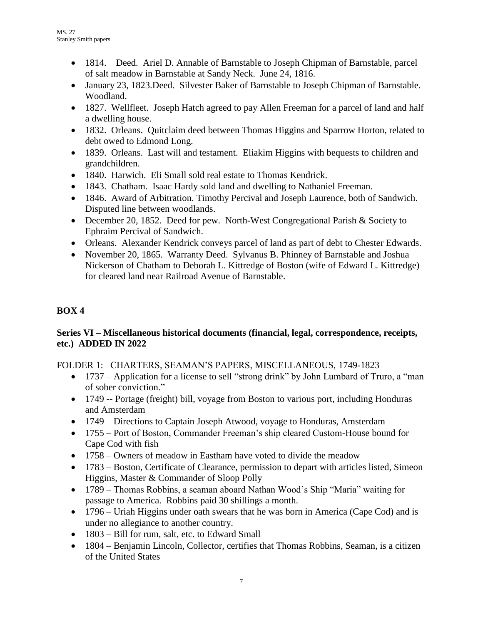- 1814. Deed. Ariel D. Annable of Barnstable to Joseph Chipman of Barnstable, parcel of salt meadow in Barnstable at Sandy Neck. June 24, 1816.
- January 23, 1823.Deed. Silvester Baker of Barnstable to Joseph Chipman of Barnstable. Woodland.
- 1827. Wellfleet. Joseph Hatch agreed to pay Allen Freeman for a parcel of land and half a dwelling house.
- 1832. Orleans. Quitclaim deed between Thomas Higgins and Sparrow Horton, related to debt owed to Edmond Long.
- 1839. Orleans. Last will and testament. Eliakim Higgins with bequests to children and grandchildren.
- 1840. Harwich. Eli Small sold real estate to Thomas Kendrick.
- 1843. Chatham. Isaac Hardy sold land and dwelling to Nathaniel Freeman.
- 1846. Award of Arbitration. Timothy Percival and Joseph Laurence, both of Sandwich. Disputed line between woodlands.
- December 20, 1852. Deed for pew. North-West Congregational Parish & Society to Ephraim Percival of Sandwich.
- Orleans. Alexander Kendrick conveys parcel of land as part of debt to Chester Edwards.
- November 20, 1865. Warranty Deed. Sylvanus B. Phinney of Barnstable and Joshua Nickerson of Chatham to Deborah L. Kittredge of Boston (wife of Edward L. Kittredge) for cleared land near Railroad Avenue of Barnstable.

# **BOX 4**

## **Series VI – Miscellaneous historical documents (financial, legal, correspondence, receipts, etc.) ADDED IN 2022**

FOLDER 1: CHARTERS, SEAMAN'S PAPERS, MISCELLANEOUS, 1749-1823

- 1737 Application for a license to sell "strong drink" by John Lumbard of Truro, a "man of sober conviction."
- 1749 -- Portage (freight) bill, voyage from Boston to various port, including Honduras and Amsterdam
- 1749 Directions to Captain Joseph Atwood, voyage to Honduras, Amsterdam
- 1755 Port of Boston, Commander Freeman's ship cleared Custom-House bound for Cape Cod with fish
- 1758 Owners of meadow in Eastham have voted to divide the meadow
- 1783 Boston, Certificate of Clearance, permission to depart with articles listed, Simeon Higgins, Master & Commander of Sloop Polly
- 1789 Thomas Robbins, a seaman aboard Nathan Wood's Ship "Maria" waiting for passage to America. Robbins paid 30 shillings a month.
- 1796 Uriah Higgins under oath swears that he was born in America (Cape Cod) and is under no allegiance to another country.
- $\bullet$  1803 Bill for rum, salt, etc. to Edward Small
- 1804 Benjamin Lincoln, Collector, certifies that Thomas Robbins, Seaman, is a citizen of the United States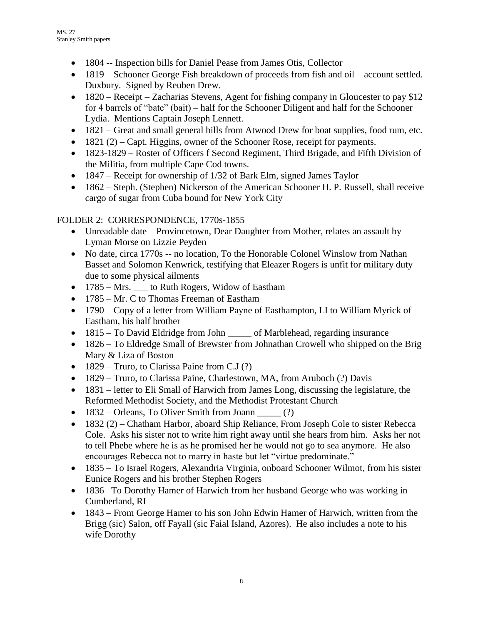- 1804 -- Inspection bills for Daniel Pease from James Otis, Collector
- 1819 Schooner George Fish breakdown of proceeds from fish and oil account settled. Duxbury. Signed by Reuben Drew.
- $\bullet$  1820 Receipt Zacharias Stevens, Agent for fishing company in Gloucester to pay \$12 for 4 barrels of "bate" (bait) – half for the Schooner Diligent and half for the Schooner Lydia. Mentions Captain Joseph Lennett.
- 1821 Great and small general bills from Atwood Drew for boat supplies, food rum, etc.
- $\bullet$  1821 (2) Capt. Higgins, owner of the Schooner Rose, receipt for payments.
- 1823-1829 Roster of Officers f Second Regiment, Third Brigade, and Fifth Division of the Militia, from multiple Cape Cod towns.
- $\bullet$  1847 Receipt for ownership of 1/32 of Bark Elm, signed James Taylor
- 1862 Steph. (Stephen) Nickerson of the American Schooner H. P. Russell, shall receive cargo of sugar from Cuba bound for New York City

## FOLDER 2: CORRESPONDENCE, 1770s-1855

- Unreadable date Provincetown, Dear Daughter from Mother, relates an assault by Lyman Morse on Lizzie Peyden
- No date, circa 1770s -- no location, To the Honorable Colonel Winslow from Nathan Basset and Solomon Kenwrick, testifying that Eleazer Rogers is unfit for military duty due to some physical ailments
- 1785 Mrs.  $\_\_$  to Ruth Rogers, Widow of Eastham
- 1785 Mr. C to Thomas Freeman of Eastham
- 1790 Copy of a letter from William Payne of Easthampton, LI to William Myrick of Eastham, his half brother
- 1815 To David Eldridge from John \_\_\_\_\_\_ of Marblehead, regarding insurance
- 1826 To Eldredge Small of Brewster from Johnathan Crowell who shipped on the Brig Mary & Liza of Boston
- 1829 Truro, to Clarissa Paine from C.J  $(?)$
- 1829 Truro, to Clarissa Paine, Charlestown, MA, from Aruboch (?) Davis
- 1831 letter to Eli Small of Harwich from James Long, discussing the legislature, the Reformed Methodist Society, and the Methodist Protestant Church
- 1832 Orleans, To Oliver Smith from Joann (?)
- 1832 (2) Chatham Harbor, aboard Ship Reliance, From Joseph Cole to sister Rebecca Cole. Asks his sister not to write him right away until she hears from him. Asks her not to tell Phebe where he is as he promised her he would not go to sea anymore. He also encourages Rebecca not to marry in haste but let "virtue predominate."
- 1835 To Israel Rogers, Alexandria Virginia, onboard Schooner Wilmot, from his sister Eunice Rogers and his brother Stephen Rogers
- 1836 –To Dorothy Hamer of Harwich from her husband George who was working in Cumberland, RI
- 1843 From George Hamer to his son John Edwin Hamer of Harwich, written from the Brigg (sic) Salon, off Fayall (sic Faial Island, Azores). He also includes a note to his wife Dorothy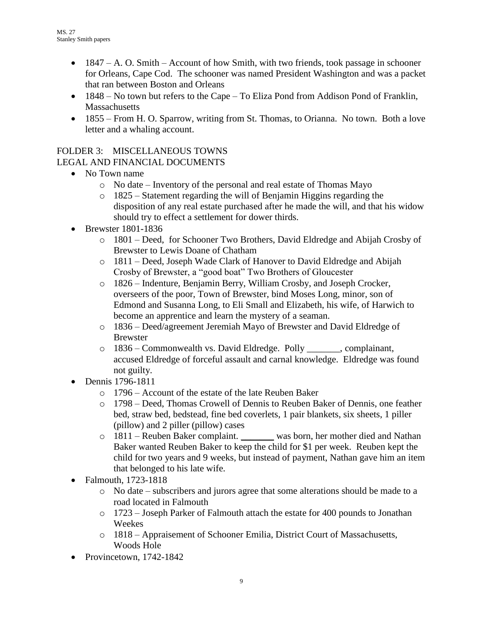- $\bullet$  1847 A. O. Smith Account of how Smith, with two friends, took passage in schooner for Orleans, Cape Cod. The schooner was named President Washington and was a packet that ran between Boston and Orleans
- 1848 No town but refers to the Cape To Eliza Pond from Addison Pond of Franklin, **Massachusetts**
- 1855 From H. O. Sparrow, writing from St. Thomas, to Orianna. No town. Both a love letter and a whaling account.

### FOLDER 3: MISCELLANEOUS TOWNS LEGAL AND FINANCIAL DOCUMENTS

- No Town name
	- o No date Inventory of the personal and real estate of Thomas Mayo
	- o 1825 Statement regarding the will of Benjamin Higgins regarding the disposition of any real estate purchased after he made the will, and that his widow should try to effect a settlement for dower thirds.
- **Brewster 1801-1836** 
	- o 1801 Deed, for Schooner Two Brothers, David Eldredge and Abijah Crosby of Brewster to Lewis Doane of Chatham
	- o 1811 Deed, Joseph Wade Clark of Hanover to David Eldredge and Abijah Crosby of Brewster, a "good boat" Two Brothers of Gloucester
	- o 1826 Indenture, Benjamin Berry, William Crosby, and Joseph Crocker, overseers of the poor, Town of Brewster, bind Moses Long, minor, son of Edmond and Susanna Long, to Eli Small and Elizabeth, his wife, of Harwich to become an apprentice and learn the mystery of a seaman.
	- o 1836 Deed/agreement Jeremiah Mayo of Brewster and David Eldredge of Brewster
	- o 1836 Commonwealth vs. David Eldredge. Polly \_\_\_\_\_\_\_, complainant, accused Eldredge of forceful assault and carnal knowledge. Eldredge was found not guilty.
- Dennis 1796-1811
	- o 1796 Account of the estate of the late Reuben Baker
	- o 1798 Deed, Thomas Crowell of Dennis to Reuben Baker of Dennis, one feather bed, straw bed, bedstead, fine bed coverlets, 1 pair blankets, six sheets, 1 piller (pillow) and 2 piller (pillow) cases
	- o 1811 Reuben Baker complaint. \_\_\_\_\_\_\_ was born, her mother died and Nathan Baker wanted Reuben Baker to keep the child for \$1 per week. Reuben kept the child for two years and 9 weeks, but instead of payment, Nathan gave him an item that belonged to his late wife.
- Falmouth, 1723-1818
	- $\circ$  No date subscribers and jurors agree that some alterations should be made to a road located in Falmouth
	- o 1723 Joseph Parker of Falmouth attach the estate for 400 pounds to Jonathan Weekes
	- $\circ$  1818 Appraisement of Schooner Emilia, District Court of Massachusetts, Woods Hole
- Provincetown, 1742-1842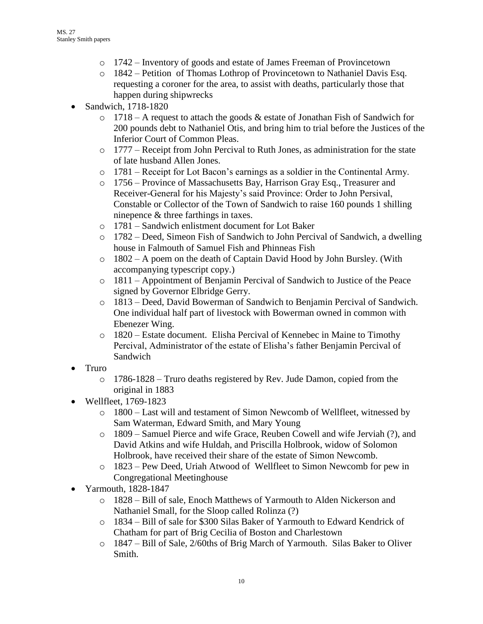- o 1742 Inventory of goods and estate of James Freeman of Provincetown
- o 1842 Petition of Thomas Lothrop of Provincetown to Nathaniel Davis Esq. requesting a coroner for the area, to assist with deaths, particularly those that happen during shipwrecks
- Sandwich, 1718-1820
	- $\circ$  1718 A request to attach the goods & estate of Jonathan Fish of Sandwich for 200 pounds debt to Nathaniel Otis, and bring him to trial before the Justices of the Inferior Court of Common Pleas.
	- o 1777 Receipt from John Percival to Ruth Jones, as administration for the state of late husband Allen Jones.
	- o 1781 Receipt for Lot Bacon's earnings as a soldier in the Continental Army.
	- o 1756 Province of Massachusetts Bay, Harrison Gray Esq., Treasurer and Receiver-General for his Majesty's said Province: Order to John Persival, Constable or Collector of the Town of Sandwich to raise 160 pounds 1 shilling ninepence & three farthings in taxes.
	- o 1781 Sandwich enlistment document for Lot Baker
	- o 1782 Deed, Simeon Fish of Sandwich to John Percival of Sandwich, a dwelling house in Falmouth of Samuel Fish and Phinneas Fish
	- o 1802 A poem on the death of Captain David Hood by John Bursley. (With accompanying typescript copy.)
	- o 1811 Appointment of Benjamin Percival of Sandwich to Justice of the Peace signed by Governor Elbridge Gerry.
	- o 1813 Deed, David Bowerman of Sandwich to Benjamin Percival of Sandwich. One individual half part of livestock with Bowerman owned in common with Ebenezer Wing.
	- o 1820 Estate document. Elisha Percival of Kennebec in Maine to Timothy Percival, Administrator of the estate of Elisha's father Benjamin Percival of Sandwich
- Truro
	- $\circ$  1786-1828 Truro deaths registered by Rev. Jude Damon, copied from the original in 1883
- Wellfleet, 1769-1823
	- o 1800 Last will and testament of Simon Newcomb of Wellfleet, witnessed by Sam Waterman, Edward Smith, and Mary Young
	- o 1809 Samuel Pierce and wife Grace, Reuben Cowell and wife Jerviah (?), and David Atkins and wife Huldah, and Priscilla Holbrook, widow of Solomon Holbrook, have received their share of the estate of Simon Newcomb.
	- o 1823 Pew Deed, Uriah Atwood of Wellfleet to Simon Newcomb for pew in Congregational Meetinghouse
- Yarmouth, 1828-1847
	- o 1828 Bill of sale, Enoch Matthews of Yarmouth to Alden Nickerson and Nathaniel Small, for the Sloop called Rolinza (?)
	- o 1834 Bill of sale for \$300 Silas Baker of Yarmouth to Edward Kendrick of Chatham for part of Brig Cecilia of Boston and Charlestown
	- o 1847 Bill of Sale, 2/60ths of Brig March of Yarmouth. Silas Baker to Oliver Smith.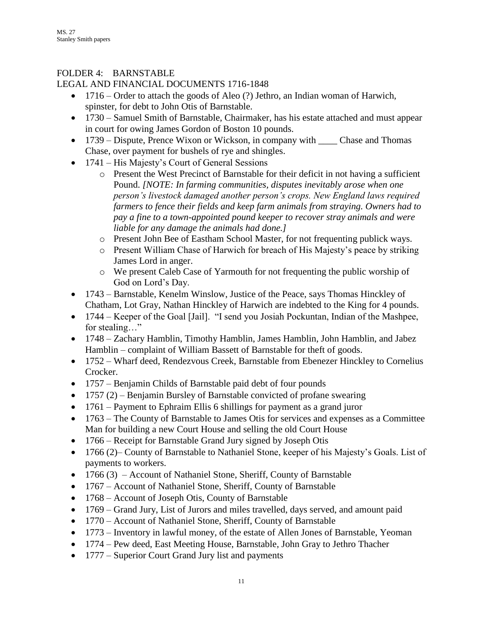### FOLDER 4: BARNSTABLE

### LEGAL AND FINANCIAL DOCUMENTS 1716-1848

- 1716 Order to attach the goods of Aleo (?) Jethro, an Indian woman of Harwich, spinster, for debt to John Otis of Barnstable.
- 1730 Samuel Smith of Barnstable, Chairmaker, has his estate attached and must appear in court for owing James Gordon of Boston 10 pounds.
- 1739 Dispute, Prence Wixon or Wickson, in company with \_\_\_\_\_\_ Chase and Thomas Chase, over payment for bushels of rye and shingles.
- 1741 His Majesty's Court of General Sessions
	- o Present the West Precinct of Barnstable for their deficit in not having a sufficient Pound. *[NOTE: In farming communities, disputes inevitably arose when one person's livestock damaged another person's crops. New England laws required farmers to fence their fields and keep farm animals from straying. Owners had to pay a fine to a town-appointed pound keeper to recover stray animals and were liable for any damage the animals had done.]*
	- o Present John Bee of Eastham School Master, for not frequenting publick ways.
	- o Present William Chase of Harwich for breach of His Majesty's peace by striking James Lord in anger.
	- o We present Caleb Case of Yarmouth for not frequenting the public worship of God on Lord's Day.
- 1743 Barnstable, Kenelm Winslow, Justice of the Peace, says Thomas Hinckley of Chatham, Lot Gray, Nathan Hinckley of Harwich are indebted to the King for 4 pounds.
- 1744 Keeper of the Goal [Jail]. "I send you Josiah Pockuntan, Indian of the Mashpee, for stealing…"
- 1748 Zachary Hamblin, Timothy Hamblin, James Hamblin, John Hamblin, and Jabez Hamblin – complaint of William Bassett of Barnstable for theft of goods.
- 1752 Wharf deed, Rendezvous Creek, Barnstable from Ebenezer Hinckley to Cornelius Crocker.
- 1757 Benjamin Childs of Barnstable paid debt of four pounds
- $\bullet$  1757 (2) Benjamin Bursley of Barnstable convicted of profane swearing
- 1761 Payment to Ephraim Ellis 6 shillings for payment as a grand juror
- 1763 The County of Barnstable to James Otis for services and expenses as a Committee Man for building a new Court House and selling the old Court House
- 1766 Receipt for Barnstable Grand Jury signed by Joseph Otis
- 1766 (2)– County of Barnstable to Nathaniel Stone, keeper of his Majesty's Goals. List of payments to workers.
- 1766 (3) Account of Nathaniel Stone, Sheriff, County of Barnstable
- 1767 Account of Nathaniel Stone, Sheriff, County of Barnstable
- 1768 Account of Joseph Otis, County of Barnstable
- 1769 Grand Jury, List of Jurors and miles travelled, days served, and amount paid
- 1770 Account of Nathaniel Stone, Sheriff, County of Barnstable
- 1773 Inventory in lawful money, of the estate of Allen Jones of Barnstable, Yeoman
- 1774 Pew deed, East Meeting House, Barnstable, John Gray to Jethro Thacher
- 1777 Superior Court Grand Jury list and payments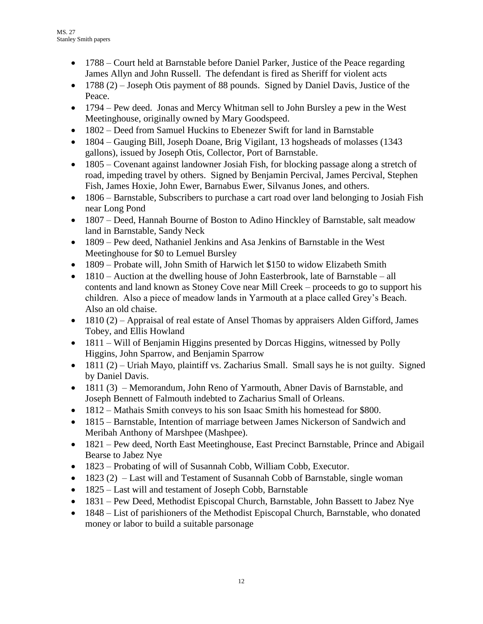- 1788 Court held at Barnstable before Daniel Parker, Justice of the Peace regarding James Allyn and John Russell. The defendant is fired as Sheriff for violent acts
- $\bullet$  1788 (2) Joseph Otis payment of 88 pounds. Signed by Daniel Davis, Justice of the Peace.
- 1794 Pew deed. Jonas and Mercy Whitman sell to John Bursley a pew in the West Meetinghouse, originally owned by Mary Goodspeed.
- 1802 Deed from Samuel Huckins to Ebenezer Swift for land in Barnstable
- 1804 Gauging Bill, Joseph Doane, Brig Vigilant, 13 hogsheads of molasses (1343) gallons), issued by Joseph Otis, Collector, Port of Barnstable.
- 1805 Covenant against landowner Josiah Fish, for blocking passage along a stretch of road, impeding travel by others. Signed by Benjamin Percival, James Percival, Stephen Fish, James Hoxie, John Ewer, Barnabus Ewer, Silvanus Jones, and others.
- 1806 Barnstable, Subscribers to purchase a cart road over land belonging to Josiah Fish near Long Pond
- 1807 Deed, Hannah Bourne of Boston to Adino Hinckley of Barnstable, salt meadow land in Barnstable, Sandy Neck
- 1809 Pew deed, Nathaniel Jenkins and Asa Jenkins of Barnstable in the West Meetinghouse for \$0 to Lemuel Bursley
- 1809 Probate will, John Smith of Harwich let \$150 to widow Elizabeth Smith
- 1810 Auction at the dwelling house of John Easterbrook, late of Barnstable all contents and land known as Stoney Cove near Mill Creek – proceeds to go to support his children. Also a piece of meadow lands in Yarmouth at a place called Grey's Beach. Also an old chaise.
- $\bullet$  1810 (2) Appraisal of real estate of Ansel Thomas by appraisers Alden Gifford, James Tobey, and Ellis Howland
- 1811 Will of Benjamin Higgins presented by Dorcas Higgins, witnessed by Polly Higgins, John Sparrow, and Benjamin Sparrow
- $\bullet$  1811 (2) Uriah Mayo, plaintiff vs. Zacharius Small. Small says he is not guilty. Signed by Daniel Davis.
- 1811 (3) Memorandum, John Reno of Yarmouth, Abner Davis of Barnstable, and Joseph Bennett of Falmouth indebted to Zacharius Small of Orleans.
- 1812 Mathais Smith conveys to his son Isaac Smith his homestead for \$800.
- 1815 Barnstable, Intention of marriage between James Nickerson of Sandwich and Meribah Anthony of Marshpee (Mashpee).
- 1821 Pew deed, North East Meetinghouse, East Precinct Barnstable, Prince and Abigail Bearse to Jabez Nye
- 1823 Probating of will of Susannah Cobb, William Cobb, Executor.
- $\bullet$  1823 (2) Last will and Testament of Susannah Cobb of Barnstable, single woman
- 1825 Last will and testament of Joseph Cobb, Barnstable
- 1831 Pew Deed, Methodist Episcopal Church, Barnstable, John Bassett to Jabez Nye
- 1848 List of parishioners of the Methodist Episcopal Church, Barnstable, who donated money or labor to build a suitable parsonage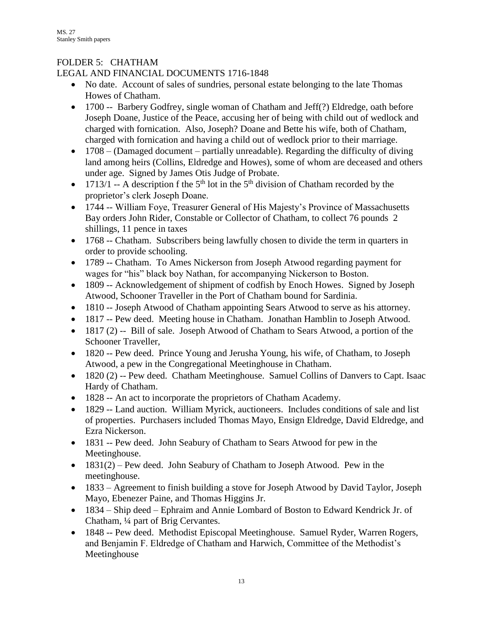# FOLDER 5: CHATHAM

## LEGAL AND FINANCIAL DOCUMENTS 1716-1848

- No date. Account of sales of sundries, personal estate belonging to the late Thomas Howes of Chatham.
- 1700 -- Barbery Godfrey, single woman of Chatham and Jeff(?) Eldredge, oath before Joseph Doane, Justice of the Peace, accusing her of being with child out of wedlock and charged with fornication. Also, Joseph? Doane and Bette his wife, both of Chatham, charged with fornication and having a child out of wedlock prior to their marriage.
- $\bullet$  1708 (Damaged document partially unreadable). Regarding the difficulty of diving land among heirs (Collins, Eldredge and Howes), some of whom are deceased and others under age. Signed by James Otis Judge of Probate.
- $\bullet$  1713/1 -- A description f the 5<sup>th</sup> lot in the 5<sup>th</sup> division of Chatham recorded by the proprietor's clerk Joseph Doane.
- 1744 -- William Foye, Treasurer General of His Majesty's Province of Massachusetts Bay orders John Rider, Constable or Collector of Chatham, to collect 76 pounds 2 shillings, 11 pence in taxes
- 1768 -- Chatham. Subscribers being lawfully chosen to divide the term in quarters in order to provide schooling.
- 1789 -- Chatham. To Ames Nickerson from Joseph Atwood regarding payment for wages for "his" black boy Nathan, for accompanying Nickerson to Boston.
- 1809 -- Acknowledgement of shipment of codfish by Enoch Howes. Signed by Joseph Atwood, Schooner Traveller in the Port of Chatham bound for Sardinia.
- 1810 -- Joseph Atwood of Chatham appointing Sears Atwood to serve as his attorney.
- 1817 -- Pew deed. Meeting house in Chatham. Jonathan Hamblin to Joseph Atwood.
- 1817 (2) -- Bill of sale. Joseph Atwood of Chatham to Sears Atwood, a portion of the Schooner Traveller,
- 1820 -- Pew deed. Prince Young and Jerusha Young, his wife, of Chatham, to Joseph Atwood, a pew in the Congregational Meetinghouse in Chatham.
- 1820 (2) -- Pew deed. Chatham Meetinghouse. Samuel Collins of Danvers to Capt. Isaac Hardy of Chatham.
- 1828 -- An act to incorporate the proprietors of Chatham Academy.
- 1829 -- Land auction. William Myrick, auctioneers. Includes conditions of sale and list of properties. Purchasers included Thomas Mayo, Ensign Eldredge, David Eldredge, and Ezra Nickerson.
- 1831 -- Pew deed. John Seabury of Chatham to Sears Atwood for pew in the Meetinghouse.
- $\bullet$  1831(2) Pew deed. John Seabury of Chatham to Joseph Atwood. Pew in the meetinghouse.
- 1833 Agreement to finish building a stove for Joseph Atwood by David Taylor, Joseph Mayo, Ebenezer Paine, and Thomas Higgins Jr.
- 1834 Ship deed Ephraim and Annie Lombard of Boston to Edward Kendrick Jr. of Chatham, ¼ part of Brig Cervantes.
- 1848 -- Pew deed. Methodist Episcopal Meetinghouse. Samuel Ryder, Warren Rogers, and Benjamin F. Eldredge of Chatham and Harwich, Committee of the Methodist's Meetinghouse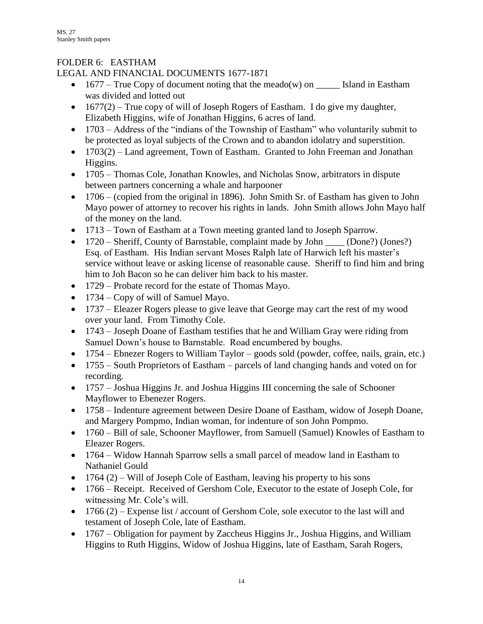## FOLDER 6: EASTHAM

## LEGAL AND FINANCIAL DOCUMENTS 1677-1871

- 1677 True Copy of document noting that the meado(w) on  $\frac{1}{\sqrt{1-\frac{1}{n}}}$  Island in Eastham was divided and lotted out
- $\bullet$  1677(2) True copy of will of Joseph Rogers of Eastham. I do give my daughter, Elizabeth Higgins, wife of Jonathan Higgins, 6 acres of land.
- 1703 Address of the "indians of the Township of Eastham" who voluntarily submit to be protected as loyal subjects of the Crown and to abandon idolatry and superstition.
- 1703(2) Land agreement, Town of Eastham. Granted to John Freeman and Jonathan Higgins.
- 1705 Thomas Cole, Jonathan Knowles, and Nicholas Snow, arbitrators in dispute between partners concerning a whale and harpooner
- 1706 (copied from the original in 1896). John Smith Sr. of Eastham has given to John Mayo power of attorney to recover his rights in lands. John Smith allows John Mayo half of the money on the land.
- 1713 Town of Eastham at a Town meeting granted land to Joseph Sparrow.
- 1720 Sheriff, County of Barnstable, complaint made by John \_\_\_\_ (Done?) (Jones?) Esq. of Eastham. His Indian servant Moses Ralph late of Harwich left his master's service without leave or asking license of reasonable cause. Sheriff to find him and bring him to Joh Bacon so he can deliver him back to his master.
- 1729 Probate record for the estate of Thomas Mayo.
- 1734 Copy of will of Samuel Mayo.
- 1737 Eleazer Rogers please to give leave that George may cart the rest of my wood over your land. From Timothy Cole.
- 1743 Joseph Doane of Eastham testifies that he and William Gray were riding from Samuel Down's house to Barnstable. Road encumbered by boughs.
- 1754 Ebnezer Rogers to William Taylor goods sold (powder, coffee, nails, grain, etc.)
- 1755 South Proprietors of Eastham parcels of land changing hands and voted on for recording.
- 1757 Joshua Higgins Jr. and Joshua Higgins III concerning the sale of Schooner Mayflower to Ebenezer Rogers.
- 1758 Indenture agreement between Desire Doane of Eastham, widow of Joseph Doane, and Margery Pompmo, Indian woman, for indenture of son John Pompmo.
- 1760 Bill of sale, Schooner Mayflower, from Samuell (Samuel) Knowles of Eastham to Eleazer Rogers.
- 1764 Widow Hannah Sparrow sells a small parcel of meadow land in Eastham to Nathaniel Gould
- $\bullet$  1764 (2) Will of Joseph Cole of Eastham, leaving his property to his sons
- 1766 Receipt. Received of Gershom Cole, Executor to the estate of Joseph Cole, for witnessing Mr. Cole's will.
- $\bullet$  1766 (2) Expense list / account of Gershom Cole, sole executor to the last will and testament of Joseph Cole, late of Eastham.
- 1767 Obligation for payment by Zaccheus Higgins Jr., Joshua Higgins, and William Higgins to Ruth Higgins, Widow of Joshua Higgins, late of Eastham, Sarah Rogers,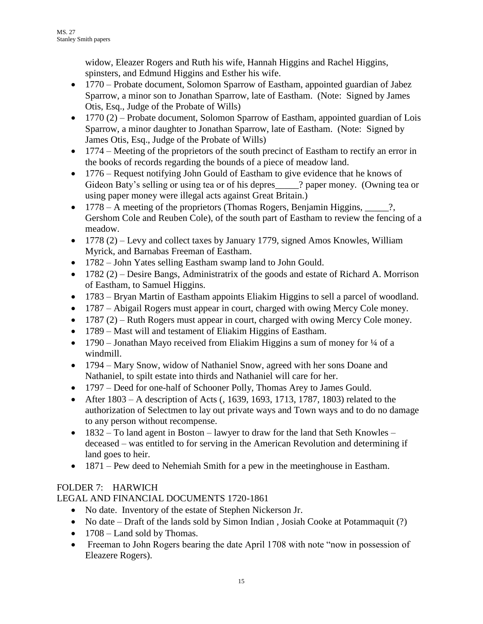widow, Eleazer Rogers and Ruth his wife, Hannah Higgins and Rachel Higgins, spinsters, and Edmund Higgins and Esther his wife.

- 1770 Probate document, Solomon Sparrow of Eastham, appointed guardian of Jabez Sparrow, a minor son to Jonathan Sparrow, late of Eastham. (Note: Signed by James Otis, Esq., Judge of the Probate of Wills)
- $\bullet$  1770 (2) Probate document, Solomon Sparrow of Eastham, appointed guardian of Lois Sparrow, a minor daughter to Jonathan Sparrow, late of Eastham. (Note: Signed by James Otis, Esq., Judge of the Probate of Wills)
- 1774 Meeting of the proprietors of the south precinct of Eastham to rectify an error in the books of records regarding the bounds of a piece of meadow land.
- 1776 Request notifying John Gould of Eastham to give evidence that he knows of Gideon Baty's selling or using tea or of his depres \_\_\_\_\_? paper money. (Owning tea or using paper money were illegal acts against Great Britain.)
- 1778 A meeting of the proprietors (Thomas Rogers, Benjamin Higgins, \_\_\_\_\_\_?, Gershom Cole and Reuben Cole), of the south part of Eastham to review the fencing of a meadow.
- $1778$  (2) Levy and collect taxes by January 1779, signed Amos Knowles, William Myrick, and Barnabas Freeman of Eastham.
- 1782 John Yates selling Eastham swamp land to John Gould.
- $\bullet$  1782 (2) Desire Bangs, Administratrix of the goods and estate of Richard A. Morrison of Eastham, to Samuel Higgins.
- 1783 Bryan Martin of Eastham appoints Eliakim Higgins to sell a parcel of woodland.
- 1787 Abigail Rogers must appear in court, charged with owing Mercy Cole money.
- $\bullet$  1787 (2) Ruth Rogers must appear in court, charged with owing Mercy Cole money.
- 1789 Mast will and testament of Eliakim Higgins of Eastham.
- 1790 Jonathan Mayo received from Eliakim Higgins a sum of money for  $\frac{1}{4}$  of a windmill.
- 1794 Mary Snow, widow of Nathaniel Snow, agreed with her sons Doane and Nathaniel, to spilt estate into thirds and Nathaniel will care for her.
- 1797 Deed for one-half of Schooner Polly, Thomas Arey to James Gould.
- After  $1803 A$  description of Acts (, 1639, 1693, 1713, 1787, 1803) related to the authorization of Selectmen to lay out private ways and Town ways and to do no damage to any person without recompense.
- $\bullet$  1832 To land agent in Boston lawyer to draw for the land that Seth Knowles deceased – was entitled to for serving in the American Revolution and determining if land goes to heir.
- 1871 Pew deed to Nehemiah Smith for a pew in the meetinghouse in Eastham.

# FOLDER 7: HARWICH

LEGAL AND FINANCIAL DOCUMENTS 1720-1861

- No date. Inventory of the estate of Stephen Nickerson Jr.
- No date Draft of the lands sold by Simon Indian, Josiah Cooke at Potammaquit (?)
- $\bullet$  1708 Land sold by Thomas.
- Freeman to John Rogers bearing the date April 1708 with note "now in possession of Eleazere Rogers).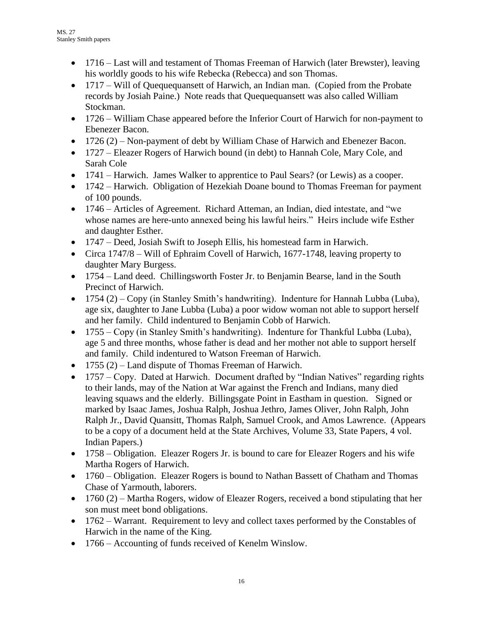- 1716 Last will and testament of Thomas Freeman of Harwich (later Brewster), leaving his worldly goods to his wife Rebecka (Rebecca) and son Thomas.
- 1717 Will of Quequequansett of Harwich, an Indian man. (Copied from the Probate records by Josiah Paine.) Note reads that Quequequansett was also called William Stockman.
- 1726 William Chase appeared before the Inferior Court of Harwich for non-payment to Ebenezer Bacon.
- $1726 (2)$  Non-payment of debt by William Chase of Harwich and Ebenezer Bacon.
- 1727 Eleazer Rogers of Harwich bound (in debt) to Hannah Cole, Mary Cole, and Sarah Cole
- 1741 Harwich. James Walker to apprentice to Paul Sears? (or Lewis) as a cooper.
- 1742 Harwich. Obligation of Hezekiah Doane bound to Thomas Freeman for payment of 100 pounds.
- 1746 Articles of Agreement. Richard Atteman, an Indian, died intestate, and "we whose names are here-unto annexed being his lawful heirs." Heirs include wife Esther and daughter Esther.
- 1747 Deed, Josiah Swift to Joseph Ellis, his homestead farm in Harwich.
- Circa 1747/8 Will of Ephraim Covell of Harwich, 1677-1748, leaving property to daughter Mary Burgess.
- 1754 Land deed. Chillingsworth Foster Jr. to Benjamin Bearse, land in the South Precinct of Harwich.
- 1754 (2) Copy (in Stanley Smith's handwriting). Indenture for Hannah Lubba (Luba), age six, daughter to Jane Lubba (Luba) a poor widow woman not able to support herself and her family. Child indentured to Benjamin Cobb of Harwich.
- 1755 Copy (in Stanley Smith's handwriting). Indenture for Thankful Lubba (Luba), age 5 and three months, whose father is dead and her mother not able to support herself and family. Child indentured to Watson Freeman of Harwich.
- $\bullet$  1755 (2) Land dispute of Thomas Freeman of Harwich.
- 1757 Copy. Dated at Harwich. Document drafted by "Indian Natives" regarding rights to their lands, may of the Nation at War against the French and Indians, many died leaving squaws and the elderly. Billingsgate Point in Eastham in question. Signed or marked by Isaac James, Joshua Ralph, Joshua Jethro, James Oliver, John Ralph, John Ralph Jr., David Quansitt, Thomas Ralph, Samuel Crook, and Amos Lawrence. (Appears to be a copy of a document held at the State Archives, Volume 33, State Papers, 4 vol. Indian Papers.)
- 1758 Obligation. Eleazer Rogers Jr. is bound to care for Eleazer Rogers and his wife Martha Rogers of Harwich.
- 1760 Obligation. Eleazer Rogers is bound to Nathan Bassett of Chatham and Thomas Chase of Yarmouth, laborers.
- $\bullet$  1760 (2) Martha Rogers, widow of Eleazer Rogers, received a bond stipulating that her son must meet bond obligations.
- 1762 Warrant. Requirement to levy and collect taxes performed by the Constables of Harwich in the name of the King.
- 1766 Accounting of funds received of Kenelm Winslow.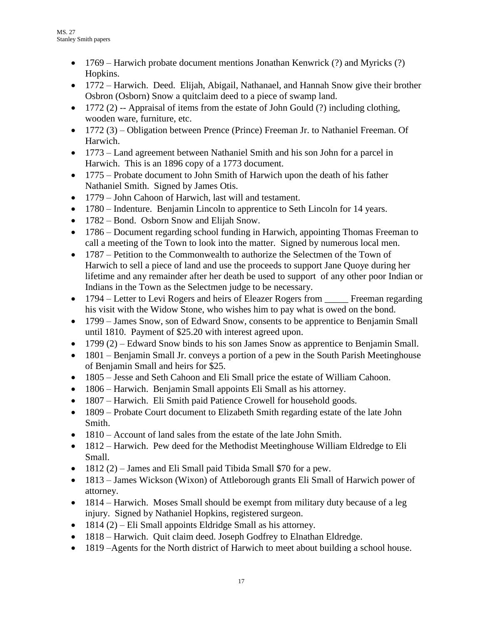- 1769 Harwich probate document mentions Jonathan Kenwrick (?) and Myricks (?) Hopkins.
- 1772 Harwich. Deed. Elijah, Abigail, Nathanael, and Hannah Snow give their brother Osbron (Osborn) Snow a quitclaim deed to a piece of swamp land.
- $\bullet$  1772 (2) -- Appraisal of items from the estate of John Gould (?) including clothing, wooden ware, furniture, etc.
- 1772 (3) Obligation between Prence (Prince) Freeman Jr. to Nathaniel Freeman. Of Harwich.
- 1773 Land agreement between Nathaniel Smith and his son John for a parcel in Harwich. This is an 1896 copy of a 1773 document.
- 1775 Probate document to John Smith of Harwich upon the death of his father Nathaniel Smith. Signed by James Otis.
- 1779 John Cahoon of Harwich, last will and testament.
- 1780 Indenture. Benjamin Lincoln to apprentice to Seth Lincoln for 14 years.
- 1782 Bond. Osborn Snow and Elijah Snow.
- 1786 Document regarding school funding in Harwich, appointing Thomas Freeman to call a meeting of the Town to look into the matter. Signed by numerous local men.
- 1787 Petition to the Commonwealth to authorize the Selectmen of the Town of Harwich to sell a piece of land and use the proceeds to support Jane Quoye during her lifetime and any remainder after her death be used to support of any other poor Indian or Indians in the Town as the Selectmen judge to be necessary.
- 1794 Letter to Levi Rogers and heirs of Eleazer Rogers from Freeman regarding his visit with the Widow Stone, who wishes him to pay what is owed on the bond.
- 1799 James Snow, son of Edward Snow, consents to be apprentice to Benjamin Small until 1810. Payment of \$25.20 with interest agreed upon.
- $1799 (2)$  Edward Snow binds to his son James Snow as apprentice to Benjamin Small.
- 1801 Benjamin Small Jr. conveys a portion of a pew in the South Parish Meetinghouse of Benjamin Small and heirs for \$25.
- 1805 Jesse and Seth Cahoon and Eli Small price the estate of William Cahoon.
- 1806 Harwich. Benjamin Small appoints Eli Small as his attorney.
- 1807 Harwich. Eli Smith paid Patience Crowell for household goods.
- 1809 Probate Court document to Elizabeth Smith regarding estate of the late John Smith.
- 1810 Account of land sales from the estate of the late John Smith.
- 1812 Harwich. Pew deed for the Methodist Meetinghouse William Eldredge to Eli Small.
- $\bullet$  1812 (2) James and Eli Small paid Tibida Small \$70 for a pew.
- 1813 James Wickson (Wixon) of Attleborough grants Eli Small of Harwich power of attorney.
- 1814 Harwich. Moses Small should be exempt from military duty because of a leg injury. Signed by Nathaniel Hopkins, registered surgeon.
- $\bullet$  1814 (2) Eli Small appoints Eldridge Small as his attorney.
- 1818 Harwich. Quit claim deed. Joseph Godfrey to Elnathan Eldredge.
- 1819 –Agents for the North district of Harwich to meet about building a school house.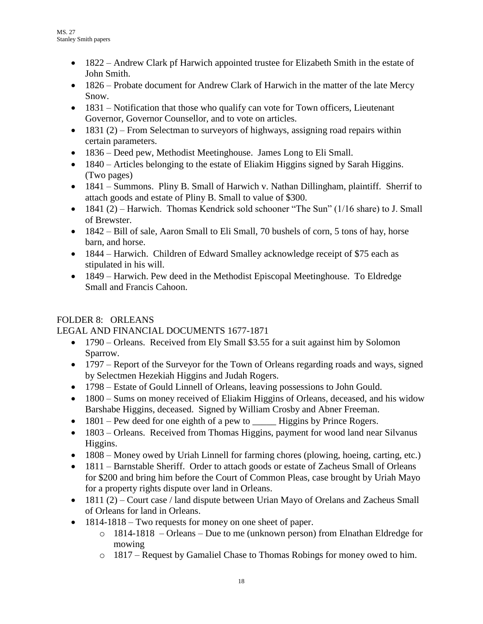- 1822 Andrew Clark pf Harwich appointed trustee for Elizabeth Smith in the estate of John Smith.
- 1826 Probate document for Andrew Clark of Harwich in the matter of the late Mercy Snow.
- 1831 Notification that those who qualify can vote for Town officers, Lieutenant Governor, Governor Counsellor, and to vote on articles.
- $\bullet$  1831 (2) From Selectman to surveyors of highways, assigning road repairs within certain parameters.
- 1836 Deed pew, Methodist Meetinghouse. James Long to Eli Small.
- 1840 Articles belonging to the estate of Eliakim Higgins signed by Sarah Higgins. (Two pages)
- 1841 Summons. Pliny B. Small of Harwich v. Nathan Dillingham, plaintiff. Sherrif to attach goods and estate of Pliny B. Small to value of \$300.
- $\bullet$  1841 (2) Harwich. Thomas Kendrick sold schooner "The Sun" (1/16 share) to J. Small of Brewster.
- 1842 Bill of sale, Aaron Small to Eli Small, 70 bushels of corn, 5 tons of hay, horse barn, and horse.
- 1844 Harwich. Children of Edward Smalley acknowledge receipt of \$75 each as stipulated in his will.
- 1849 Harwich. Pew deed in the Methodist Episcopal Meetinghouse. To Eldredge Small and Francis Cahoon.

## FOLDER 8: ORLEANS

## LEGAL AND FINANCIAL DOCUMENTS 1677-1871

- 1790 Orleans. Received from Ely Small \$3.55 for a suit against him by Solomon Sparrow.
- 1797 Report of the Surveyor for the Town of Orleans regarding roads and ways, signed by Selectmen Hezekiah Higgins and Judah Rogers.
- 1798 Estate of Gould Linnell of Orleans, leaving possessions to John Gould.
- 1800 Sums on money received of Eliakim Higgins of Orleans, deceased, and his widow Barshabe Higgins, deceased. Signed by William Crosby and Abner Freeman.
- 1801 Pew deed for one eighth of a pew to \_\_\_\_\_\_\_ Higgins by Prince Rogers.
- 1803 Orleans. Received from Thomas Higgins, payment for wood land near Silvanus Higgins.
- 1808 Money owed by Uriah Linnell for farming chores (plowing, hoeing, carting, etc.)
- 1811 Barnstable Sheriff. Order to attach goods or estate of Zacheus Small of Orleans for \$200 and bring him before the Court of Common Pleas, case brought by Uriah Mayo for a property rights dispute over land in Orleans.
- 1811 (2) Court case / land dispute between Urian Mayo of Orelans and Zacheus Small of Orleans for land in Orleans.
- 1814-1818 Two requests for money on one sheet of paper.
	- o 1814-1818 Orleans Due to me (unknown person) from Elnathan Eldredge for mowing
	- o 1817 Request by Gamaliel Chase to Thomas Robings for money owed to him.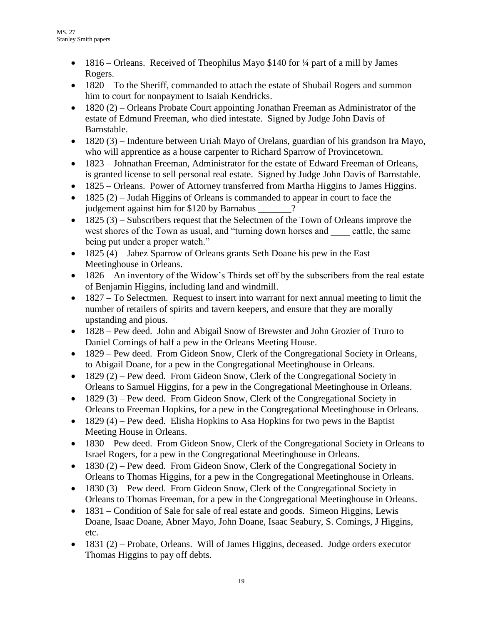- 1816 Orleans. Received of Theophilus Mayo \$140 for 1/4 part of a mill by James Rogers.
- 1820 To the Sheriff, commanded to attach the estate of Shubail Rogers and summon him to court for nonpayment to Isaiah Kendricks.
- 1820 (2) Orleans Probate Court appointing Jonathan Freeman as Administrator of the estate of Edmund Freeman, who died intestate. Signed by Judge John Davis of Barnstable.
- $\bullet$  1820 (3) Indenture between Uriah Mayo of Orelans, guardian of his grandson Ira Mayo, who will apprentice as a house carpenter to Richard Sparrow of Provincetown.
- 1823 Johnathan Freeman, Administrator for the estate of Edward Freeman of Orleans, is granted license to sell personal real estate. Signed by Judge John Davis of Barnstable.
- 1825 Orleans. Power of Attorney transferred from Martha Higgins to James Higgins.
- $\bullet$  1825 (2) Judah Higgins of Orleans is commanded to appear in court to face the judgement against him for \$120 by Barnabus \_\_\_\_\_\_\_?
- $\bullet$  1825 (3) Subscribers request that the Selectmen of the Town of Orleans improve the west shores of the Town as usual, and "turning down horses and cattle, the same being put under a proper watch."
- 1825 (4) Jabez Sparrow of Orleans grants Seth Doane his pew in the East Meetinghouse in Orleans.
- 1826 An inventory of the Widow's Thirds set off by the subscribers from the real estate of Benjamin Higgins, including land and windmill.
- 1827 To Selectmen. Request to insert into warrant for next annual meeting to limit the number of retailers of spirits and tavern keepers, and ensure that they are morally upstanding and pious.
- 1828 Pew deed. John and Abigail Snow of Brewster and John Grozier of Truro to Daniel Comings of half a pew in the Orleans Meeting House.
- 1829 Pew deed. From Gideon Snow, Clerk of the Congregational Society in Orleans, to Abigail Doane, for a pew in the Congregational Meetinghouse in Orleans.
- $1829$  (2) Pew deed. From Gideon Snow, Clerk of the Congregational Society in Orleans to Samuel Higgins, for a pew in the Congregational Meetinghouse in Orleans.
- $\bullet$  1829 (3) Pew deed. From Gideon Snow, Clerk of the Congregational Society in Orleans to Freeman Hopkins, for a pew in the Congregational Meetinghouse in Orleans.
- $\bullet$  1829 (4) Pew deed. Elisha Hopkins to Asa Hopkins for two pews in the Baptist Meeting House in Orleans.
- 1830 Pew deed. From Gideon Snow, Clerk of the Congregational Society in Orleans to Israel Rogers, for a pew in the Congregational Meetinghouse in Orleans.
- $1830 (2)$  Pew deed. From Gideon Snow, Clerk of the Congregational Society in Orleans to Thomas Higgins, for a pew in the Congregational Meetinghouse in Orleans.
- $1830$  (3) Pew deed. From Gideon Snow, Clerk of the Congregational Society in Orleans to Thomas Freeman, for a pew in the Congregational Meetinghouse in Orleans.
- 1831 Condition of Sale for sale of real estate and goods. Simeon Higgins, Lewis Doane, Isaac Doane, Abner Mayo, John Doane, Isaac Seabury, S. Comings, J Higgins, etc.
- $\bullet$  1831 (2) Probate, Orleans. Will of James Higgins, deceased. Judge orders executor Thomas Higgins to pay off debts.